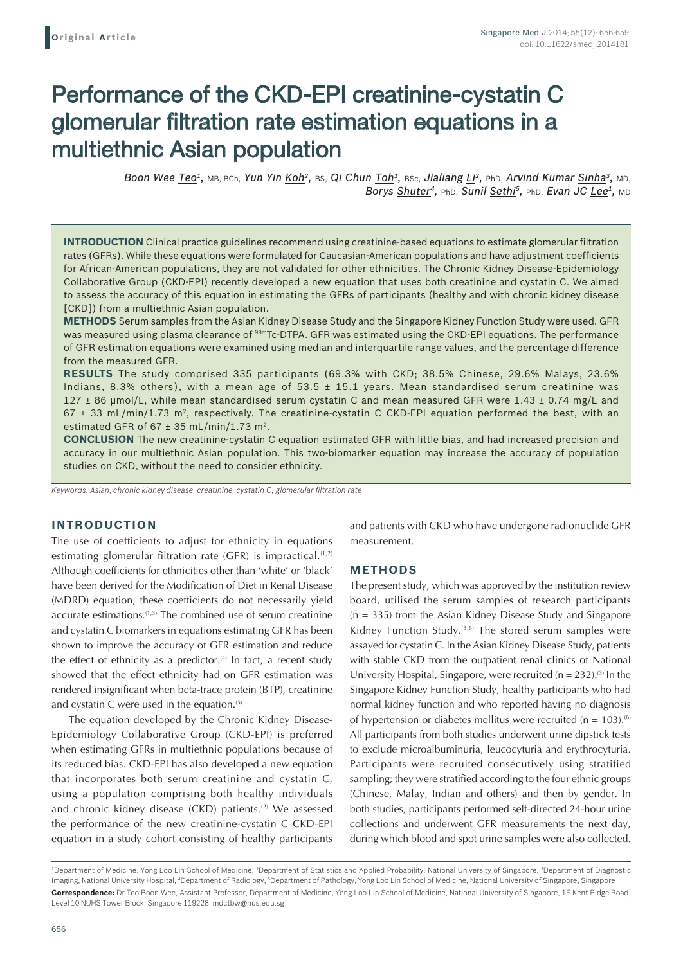# Performance of the CKD-EPI creatinine-cystatin C glomerular filtration rate estimation equations in a multiethnic Asian population

*Boon Wee Teo1,* MB, BCh, *Yun Yin Koh2,* BS, *Qi Chun Toh1,* BSc, *Jialiang Li2,* PhD, *Arvind Kumar Sinha3,* MD, *Borys Shuter<sup>4</sup>*, *PhD*, *Sunil Sethi<sup>5</sup>, <i>PhD*, *Evan JC Lee<sup>1</sup>*, *MD* 

**INTRODUCTION** Clinical practice guidelines recommend using creatinine-based equations to estimate glomerular filtration rates (GFRs). While these equations were formulated for Caucasian-American populations and have adjustment coefficients for African-American populations, they are not validated for other ethnicities. The Chronic Kidney Disease-Epidemiology Collaborative Group (CKD-EPI) recently developed a new equation that uses both creatinine and cystatin C. We aimed to assess the accuracy of this equation in estimating the GFRs of participants (healthy and with chronic kidney disease [CKD]) from a multiethnic Asian population.

**METHODS** Serum samples from the Asian Kidney Disease Study and the Singapore Kidney Function Study were used. GFR was measured using plasma clearance of <sup>99m</sup>Tc-DTPA. GFR was estimated using the CKD-EPI equations. The performance of GFR estimation equations were examined using median and interquartile range values, and the percentage difference from the measured GFR.

**RESULTS** The study comprised 335 participants (69.3% with CKD; 38.5% Chinese, 29.6% Malays, 23.6% Indians, 8.3% others), with a mean age of 53.5  $\pm$  15.1 years. Mean standardised serum creatinine was 127  $\pm$  86 µmol/L, while mean standardised serum cystatin C and mean measured GFR were 1.43  $\pm$  0.74 mg/L and  $67 \pm 33$  mL/min/1.73 m<sup>2</sup>, respectively. The creatinine-cystatin C CKD-EPI equation performed the best, with an estimated GFR of  $67 \pm 35$  mL/min/1.73 m<sup>2</sup>.

**CONCLUSION** The new creatinine-cystatin C equation estimated GFR with little bias, and had increased precision and accuracy in our multiethnic Asian population. This two-biomarker equation may increase the accuracy of population studies on CKD, without the need to consider ethnicity.

*Keywords: Asian, chronic kidney disease, creatinine, cystatin C, glomerular filtration rate*

## **INTRODUCTION**

The use of coefficients to adjust for ethnicity in equations estimating glomerular filtration rate (GFR) is impractical.<sup>(1,2)</sup> Although coefficients for ethnicities other than 'white' or 'black' have been derived for the Modification of Diet in Renal Disease (MDRD) equation, these coefficients do not necessarily yield accurate estimations.<sup>(1,3)</sup> The combined use of serum creatinine and cystatin C biomarkers in equations estimating GFR has been shown to improve the accuracy of GFR estimation and reduce the effect of ethnicity as a predictor. $(4)$  In fact, a recent study showed that the effect ethnicity had on GFR estimation was rendered insignificant when beta-trace protein (BTP), creatinine and cystatin C were used in the equation. $(5)$ 

The equation developed by the Chronic Kidney Disease-Epidemiology Collaborative Group (CKD-EPI) is preferred when estimating GFRs in multiethnic populations because of its reduced bias. CKD-EPI has also developed a new equation that incorporates both serum creatinine and cystatin C, using a population comprising both healthy individuals and chronic kidney disease (CKD) patients.<sup>(2)</sup> We assessed the performance of the new creatinine-cystatin C CKD-EPI equation in a study cohort consisting of healthy participants and patients with CKD who have undergone radionuclide GFR measurement.

#### **METHODS**

The present study, which was approved by the institution review board, utilised the serum samples of research participants (n = 335) from the Asian Kidney Disease Study and Singapore Kidney Function Study. $(3,6)$  The stored serum samples were assayed for cystatin C. In the Asian Kidney Disease Study, patients with stable CKD from the outpatient renal clinics of National University Hospital, Singapore, were recruited  $(n = 232)$ .<sup>(3)</sup> In the Singapore Kidney Function Study, healthy participants who had normal kidney function and who reported having no diagnosis of hypertension or diabetes mellitus were recruited ( $n = 103$ ).<sup>(6)</sup> All participants from both studies underwent urine dipstick tests to exclude microalbuminuria, leucocyturia and erythrocyturia. Participants were recruited consecutively using stratified sampling; they were stratified according to the four ethnic groups (Chinese, Malay, Indian and others) and then by gender. In both studies, participants performed self-directed 24-hour urine collections and underwent GFR measurements the next day, during which blood and spot urine samples were also collected.

<sup>&</sup>lt;sup>1</sup>Department of Medicine, Yong Loo Lin School of Medicine, <sup>2</sup>Department of Statistics and Applied Probability, National University of Singapore, <sup>3</sup>Department of Diagnostic Imaging, National University Hospital, <sup>4</sup>Department of Radiology, <sup>5</sup>Department of Pathology, Yong Loo Lin School of Medicine, National University of Singapore, Singapore **Correspondence:** Dr Teo Boon Wee, Assistant Professor, Department of Medicine, Yong Loo Lin School of Medicine, National University of Singapore, 1E Kent Ridge Road, Level 10 NUHS Tower Block, Singapore 119228. mdctbw@nus.edu.sg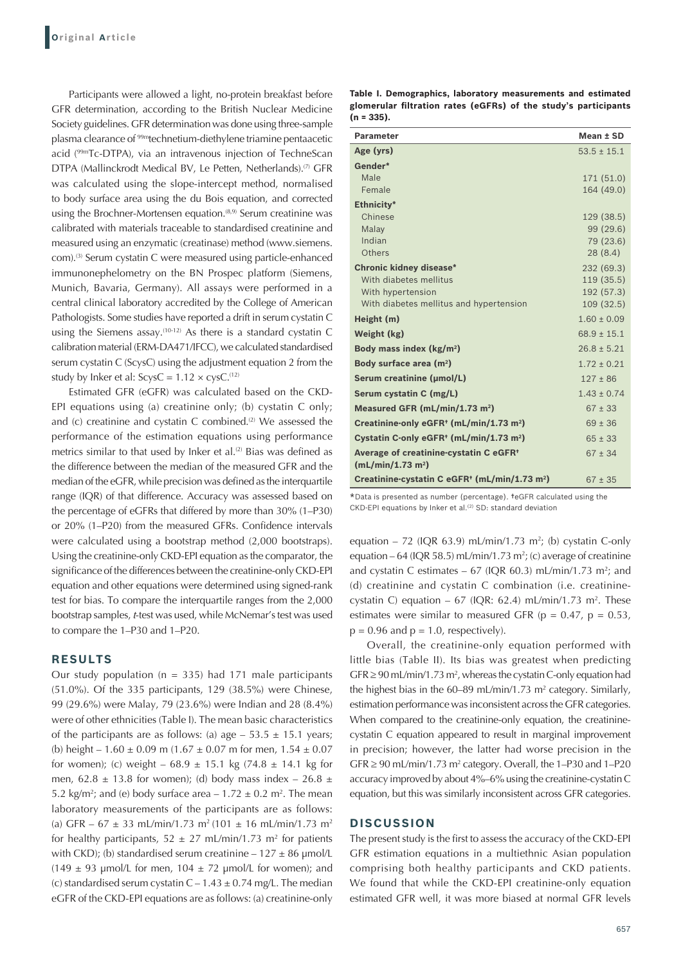Participants were allowed a light, no-protein breakfast before GFR determination, according to the British Nuclear Medicine Society guidelines. GFR determination was done using three-sample plasma clearance of 99mtechnetium-diethylene triamine pentaacetic acid (99mTc-DTPA), via an intravenous injection of TechneScan DTPA (Mallinckrodt Medical BV, Le Petten, Netherlands).<sup>(7)</sup> GFR was calculated using the slope-intercept method, normalised to body surface area using the du Bois equation, and corrected using the Brochner-Mortensen equation.<sup>(8,9)</sup> Serum creatinine was calibrated with materials traceable to standardised creatinine and measured using an enzymatic (creatinase) method (www.siemens. com).<sup>(3)</sup> Serum cystatin C were measured using particle-enhanced immunonephelometry on the BN Prospec platform (Siemens, Munich, Bavaria, Germany). All assays were performed in a central clinical laboratory accredited by the College of American Pathologists. Some studies have reported a drift in serum cystatin C using the Siemens assay.<sup>(10-12)</sup> As there is a standard cystatin C calibration material (ERM-DA471/IFCC), we calculated standardised serum cystatin C (ScysC) using the adjustment equation 2 from the study by Inker et al:  $ScysC = 1.12 \times cysC$ .<sup>(12)</sup>

Estimated GFR (eGFR) was calculated based on the CKD-EPI equations using (a) creatinine only; (b) cystatin C only; and (c) creatinine and cystatin C combined.<sup>(2)</sup> We assessed the performance of the estimation equations using performance metrics similar to that used by Inker et al.<sup>(2)</sup> Bias was defined as the difference between the median of the measured GFR and the median of the eGFR, while precision was defined as the interquartile range (IQR) of that difference. Accuracy was assessed based on the percentage of eGFRs that differed by more than 30% (1–P30) or 20% (1–P20) from the measured GFRs. Confidence intervals were calculated using a bootstrap method (2,000 bootstraps). Using the creatinine-only CKD-EPI equation as the comparator, the significance of the differences between the creatinine-only CKD-EPI equation and other equations were determined using signed-rank test for bias. To compare the interquartile ranges from the 2,000 bootstrap samples, *t*-test was used, while McNemar's test was used to compare the 1–P30 and 1–P20.

#### **RESULTS**

Our study population ( $n = 335$ ) had 171 male participants (51.0%). Of the 335 participants, 129 (38.5%) were Chinese, 99 (29.6%) were Malay, 79 (23.6%) were Indian and 28 (8.4%) were of other ethnicities (Table I). The mean basic characteristics of the participants are as follows: (a) age  $-53.5 \pm 15.1$  years; (b) height –  $1.60 \pm 0.09$  m ( $1.67 \pm 0.07$  m for men,  $1.54 \pm 0.07$ for women); (c) weight –  $68.9 \pm 15.1$  kg (74.8  $\pm$  14.1 kg for men,  $62.8 \pm 13.8$  for women); (d) body mass index –  $26.8 \pm 13.8$ 5.2 kg/m<sup>2</sup>; and (e) body surface area  $-1.72 \pm 0.2$  m<sup>2</sup>. The mean laboratory measurements of the participants are as follows: (a) GFR –  $67 \pm 33$  mL/min/1.73 m<sup>2</sup> (101  $\pm$  16 mL/min/1.73 m<sup>2</sup> for healthy participants,  $52 \pm 27$  mL/min/1.73 m<sup>2</sup> for patients with CKD); (b) standardised serum creatinine –  $127 \pm 86$  µmol/L (149  $\pm$  93 µmol/L for men, 104  $\pm$  72 µmol/L for women); and (c) standardised serum cystatin  $C - 1.43 \pm 0.74$  mg/L. The median eGFR of the CKD-EPI equations are as follows: (a) creatinine-only

| Table I. Demographics, laboratory measurements and estimated    |  |  |  |
|-----------------------------------------------------------------|--|--|--|
| glomerular filtration rates (eGFRs) of the study's participants |  |  |  |
| $(n = 335)$ .                                                   |  |  |  |

| <b>Parameter</b>                                                                    | Mean ± SD                |
|-------------------------------------------------------------------------------------|--------------------------|
| Age (yrs)                                                                           | $53.5 \pm 15.1$          |
| Gender*                                                                             |                          |
| Male                                                                                | 171 (51.0)               |
| Female                                                                              | 164 (49.0)               |
| Ethnicity*                                                                          |                          |
| Chinese                                                                             | 129 (38.5)               |
| Malay                                                                               | 99 (29.6)                |
| Indian                                                                              | 79 (23.6)                |
| Others                                                                              | 28(8.4)                  |
| <b>Chronic kidney disease*</b>                                                      | 232 (69.3)               |
| With diabetes mellitus                                                              | 119 (35.5)               |
| With hypertension<br>With diabetes mellitus and hypertension                        | 192 (57.3)<br>109 (32.5) |
|                                                                                     |                          |
| Height (m)                                                                          | $1.60 \pm 0.09$          |
| Weight (kg)                                                                         | $68.9 \pm 15.1$          |
| Body mass index $(kg/m2)$                                                           | $26.8 + 5.21$            |
| Body surface area (m <sup>2</sup> )                                                 | $1.72 \pm 0.21$          |
| Serum creatinine (µmol/L)                                                           | $127 \pm 86$             |
| Serum cystatin C (mg/L)                                                             | $1.43 + 0.74$            |
| Measured GFR (mL/min/1.73 m <sup>2</sup> )                                          | $67 \pm 33$              |
| Creatinine-only eGFR <sup>+</sup> (mL/min/1.73 m <sup>2</sup> )                     | $69 \pm 36$              |
| Cystatin C-only eGFR <sup>+</sup> (mL/min/1.73 m <sup>2</sup> )                     | $65 \pm 33$              |
| Average of creatinine-cystatin C eGFR <sup>+</sup><br>(mL/min/1.73 m <sup>2</sup> ) | $67 \pm 34$              |
| Creatinine-cystatin C eGFR <sup>+</sup> (mL/min/1.73 m <sup>2</sup> )               | $67 \pm 35$              |

\*Data is presented as number (percentage). †eGFR calculated using the CKD-EPI equations by Inker et al.<sup>(2)</sup> SD: standard deviation

equation – 72 (IQR 63.9) mL/min/1.73 m<sup>2</sup>; (b) cystatin C-only equation – 64 (IQR 58.5) mL/min/1.73 m<sup>2</sup>; (c) average of creatinine and cystatin C estimates  $-67$  (IQR 60.3) mL/min/1.73 m<sup>2</sup>; and (d) creatinine and cystatin C combination (i.e. creatininecystatin C) equation  $-67$  (IQR: 62.4) mL/min/1.73 m<sup>2</sup>. These estimates were similar to measured GFR ( $p = 0.47$ ,  $p = 0.53$ ,  $p = 0.96$  and  $p = 1.0$ , respectively).

Overall, the creatinine-only equation performed with little bias (Table II). Its bias was greatest when predicting  $GFR \geq 90 \text{ mL/min}/1.73 \text{ m}^2$ , whereas the cystatin C-only equation had the highest bias in the  $60-89$  mL/min/1.73 m<sup>2</sup> category. Similarly, estimation performance was inconsistent across the GFR categories. When compared to the creatinine-only equation, the creatininecystatin C equation appeared to result in marginal improvement in precision; however, the latter had worse precision in the  $GFR \geq 90 \text{ mL/min}/1.73 \text{ m}^2$  category. Overall, the 1–P30 and 1–P20 accuracy improved by about 4%–6% using the creatinine-cystatin C equation, but this was similarly inconsistent across GFR categories.

#### **DISCUSSION**

The present study is the first to assess the accuracy of the CKD‑EPI GFR estimation equations in a multiethnic Asian population comprising both healthy participants and CKD patients. We found that while the CKD-EPI creatinine-only equation estimated GFR well, it was more biased at normal GFR levels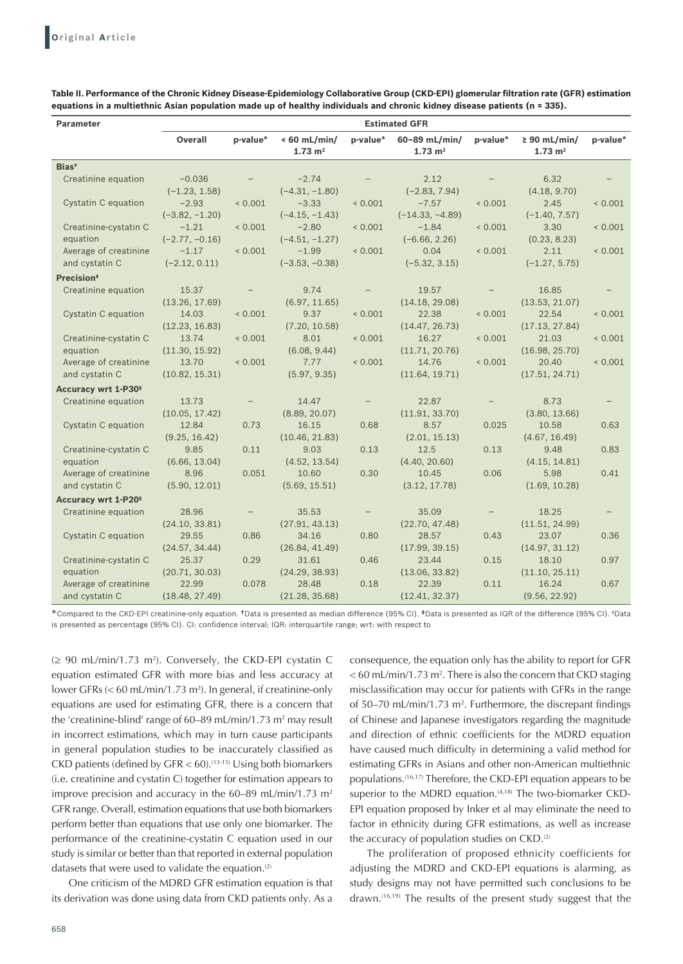| <b>Parameter</b>                      | <b>Estimated GFR</b> |                          |                                      |                          |                                     |                          |                                         |          |  |
|---------------------------------------|----------------------|--------------------------|--------------------------------------|--------------------------|-------------------------------------|--------------------------|-----------------------------------------|----------|--|
|                                       | Overall              | p-value*                 | $< 60$ mL/min/<br>$1.73 \text{ m}^2$ | p-value*                 | 60-89 mL/min/<br>$1.73 \text{ m}^2$ | p-value*                 | $\geq 90$ mL/min/<br>$1.73 \text{ m}^2$ | p-value* |  |
| Bias <sup>+</sup>                     |                      |                          |                                      |                          |                                     |                          |                                         |          |  |
| Creatinine equation                   | $-0.036$             | $\overline{\phantom{m}}$ | $-2.74$                              |                          | 2.12                                | $\overline{\phantom{0}}$ | 6.32                                    |          |  |
|                                       | $(-1.23, 1.58)$      |                          | $(-4.31, -1.80)$                     |                          | $(-2.83, 7.94)$                     |                          | (4.18, 9.70)                            |          |  |
| Cystatin C equation                   | $-2.93$              | < 0.001                  | $-3.33$                              | < 0.001                  | $-7.57$                             | ${}< 0.001$              | 2.45                                    | < 0.001  |  |
|                                       | $(-3.82, -1.20)$     |                          | $(-4.15, -1.43)$                     |                          | $(-14.33, -4.89)$                   |                          | $(-1.40, 7.57)$                         |          |  |
| Creatinine-cystatin C                 | $-1.21$              | < 0.001                  | $-2.80$                              | < 0.001                  | $-1.84$                             | ${}< 0.001$              | 3.30                                    | < 0.001  |  |
| equation                              | $(-2.77, -0.16)$     |                          | $(-4.51, -1.27)$                     |                          | $(-6.66, 2.26)$                     |                          | (0.23, 8.23)                            |          |  |
| Average of creatinine                 | $-1.17$              | < 0.001                  | $-1.99$                              | < 0.001                  | 0.04                                | ${}< 0.001$              | 2.11                                    | < 0.001  |  |
| and cystatin C                        | $(-2.12, 0.11)$      |                          | $(-3.53, -0.38)$                     |                          | $(-5.32, 3.15)$                     |                          | $(-1.27, 5.75)$                         |          |  |
| Precision <sup>*</sup>                |                      |                          |                                      |                          |                                     |                          |                                         |          |  |
| Creatinine equation                   | 15.37                | $\overline{\phantom{a}}$ | 9.74                                 | $\overline{\phantom{a}}$ | 19.57                               | $\qquad \qquad -$        | 16.85                                   |          |  |
|                                       | (13.26, 17.69)       |                          | (6.97, 11.65)                        |                          | (14.18, 29.08)                      |                          | (13.53, 21.07)                          |          |  |
| Cystatin C equation                   | 14.03                | < 0.001                  | 9.37                                 | < 0.001                  | 22.38                               | ${}< 0.001$              | 22.54                                   | < 0.001  |  |
|                                       | (12.23, 16.83)       |                          | (7.20, 10.58)                        |                          | (14.47, 26.73)                      |                          | (17.13, 27.84)                          |          |  |
| Creatinine-cystatin C                 | 13.74                | < 0.001                  | 8.01                                 | < 0.001                  | 16.27                               | < 0.001                  | 21.03                                   | < 0.001  |  |
| equation                              | (11.30, 15.92)       |                          | (6.08, 9.44)                         |                          | (11.71, 20.76)                      |                          | (16.98, 25.70)                          |          |  |
| Average of creatinine                 | 13.70                | < 0.001                  | 7.77                                 | < 0.001                  | 14.76                               | < 0.001                  | 20.40                                   | < 0.001  |  |
| and cystatin C                        | (10.82, 15.31)       |                          | (5.97, 9.35)                         |                          | (11.64, 19.71)                      |                          | (17.51, 24.71)                          |          |  |
| Accuracy wrt 1-P30 <sup>§</sup>       |                      |                          |                                      |                          |                                     |                          |                                         |          |  |
| Creatinine equation                   | 13.73                | $\overline{\phantom{a}}$ | 14.47                                |                          | 22.87                               | $\overline{\phantom{m}}$ | 8.73                                    |          |  |
|                                       | (10.05, 17.42)       |                          | (8.89, 20.07)                        |                          | (11.91, 33.70)                      |                          | (3.80, 13.66)                           |          |  |
| Cystatin C equation                   | 12.84                | 0.73                     | 16.15                                | 0.68                     | 8.57                                | 0.025                    | 10.58                                   | 0.63     |  |
|                                       | (9.25, 16.42)        |                          | (10.46, 21.83)                       |                          | (2.01, 15.13)                       |                          | (4.67, 16.49)                           |          |  |
| Creatinine-cystatin C                 | 9.85                 | 0.11                     | 9.03                                 | 0.13                     | 12.5                                | 0.13                     | 9.48                                    | 0.83     |  |
| equation                              | (6.66, 13.04)        |                          | (4.52, 13.54)                        |                          | (4.40, 20.60)                       |                          | (4.15, 14.81)                           |          |  |
| Average of creatinine                 | 8.96                 | 0.051                    | 10.60                                | 0.30                     | 10.45                               | 0.06                     | 5.98                                    | 0.41     |  |
| and cystatin C                        | (5.90, 12.01)        |                          | (5.69, 15.51)                        |                          | (3.12, 17.78)                       |                          | (1.69, 10.28)                           |          |  |
| <b>Accuracy wrt 1-P20<sup>§</sup></b> |                      |                          |                                      |                          |                                     |                          |                                         |          |  |
| Creatinine equation                   | 28.96                |                          | 35.53                                | $\qquad \qquad -$        | 35.09                               |                          | 18.25                                   |          |  |
|                                       | (24.10, 33.81)       |                          | (27.91, 43.13)                       |                          | (22.70, 47.48)                      |                          | (11.51, 24.99)                          |          |  |
| Cystatin C equation                   | 29.55                | 0.86                     | 34.16                                | 0.80                     | 28.57                               | 0.43                     | 23.07                                   | 0.36     |  |
|                                       | (24.57, 34.44)       |                          | (26.84, 41.49)                       |                          | (17.99, 39.15)                      |                          | (14.97, 31.12)                          |          |  |
| Creatinine-cystatin C                 | 25.37                | 0.29                     | 31.61                                | 0.46                     | 23.44                               | 0.15                     | 18.10                                   | 0.97     |  |
| equation                              | (20.71, 30.03)       |                          | (24.29, 38.93)                       |                          | (13.06, 33.82)                      |                          | (11.10, 25.11)                          |          |  |
| Average of creatinine                 | 22.99                | 0.078                    | 28.48                                | 0.18                     | 22.39                               | 0.11                     | 16.24                                   | 0.67     |  |
| and cystatin C                        | (18.48, 27.49)       |                          | (21.28, 35.68)                       |                          | (12.41, 32.37)                      |                          | (9.56, 22.92)                           |          |  |

**Table II. Performance of the Chronic Kidney Disease‑Epidemiology Collaborative Group (CKD‑EPI) glomerular filtration rate (GFR) estimation equations in a multiethnic Asian population made up of healthy individuals and chronic kidney disease patients (n = 335).**

\*Compared to the CKD-EPI creatinine-only equation. †Data is presented as median difference (95% CI). ‡Data is presented as IQR of the difference (95% CI). § Data is presented as percentage (95% CI). CI: confidence interval; IQR: interquartile range; wrt: with respect to

 $\geq 90$  mL/min/1.73 m<sup>2</sup>). Conversely, the CKD-EPI cystatin C equation estimated GFR with more bias and less accuracy at lower GFRs (< 60 mL/min/1.73 m<sup>2</sup>). In general, if creatinine-only equations are used for estimating GFR, there is a concern that the 'creatinine-blind' range of  $60-89$  mL/min/1.73 m<sup>2</sup> may result in incorrect estimations, which may in turn cause participants in general population studies to be inaccurately classified as CKD patients (defined by  $GFR < 60$ ).<sup>(13-15)</sup> Using both biomarkers (i.e. creatinine and cystatin C) together for estimation appears to improve precision and accuracy in the 60–89 mL/min/1.73 m<sup>2</sup> GFR range. Overall, estimation equations that use both biomarkers perform better than equations that use only one biomarker. The performance of the creatinine-cystatin C equation used in our study is similar or better than that reported in external population datasets that were used to validate the equation.<sup>(2)</sup>

One criticism of the MDRD GFR estimation equation is that its derivation was done using data from CKD patients only. As a

consequence, the equation only has the ability to report for GFR  $<$  60 mL/min/1.73 m<sup>2</sup>. There is also the concern that CKD staging misclassification may occur for patients with GFRs in the range of  $50-70$  mL/min/1.73 m<sup>2</sup>. Furthermore, the discrepant findings of Chinese and Japanese investigators regarding the magnitude and direction of ethnic coefficients for the MDRD equation have caused much difficulty in determining a valid method for estimating GFRs in Asians and other non-American multiethnic populations.(16,17) Therefore, the CKD-EPI equation appears to be superior to the MDRD equation.<sup>(4,18)</sup> The two-biomarker CKD-EPI equation proposed by Inker et al may eliminate the need to factor in ethnicity during GFR estimations, as well as increase the accuracy of population studies on CKD.(2)

The proliferation of proposed ethnicity coefficients for adjusting the MDRD and CKD-EPI equations is alarming, as study designs may not have permitted such conclusions to be drawn.(16,19) The results of the present study suggest that the